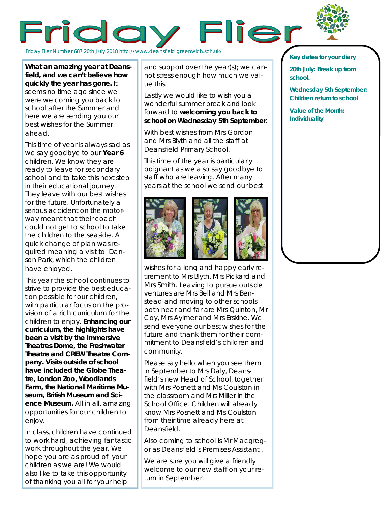



Friday Flier Number 687 20th July 2018 http://www.deansfield.greenwich.sch.uk/

**What an amazing year at Deansfield, and we can't believe how quickly the year has gone.** It seems no time ago since we were welcoming you back to school after the Summer and here we are sending you our best wishes for the Summer ahead.

This time of year is always sad as we say goodbye to our **Year 6**  children. We know they are ready to leave for secondary school and to take this next step in their educational journey. They leave with our best wishes for the future. Unfortunately a serious accident on the motorway meant that their coach could not get to school to take the children to the seaside. A quick change of plan was required meaning a visit to Danson Park, which the children have enjoyed.

This year the school continues to strive to provide the best education possible for our children, with particular focus on the provision of a rich curriculum for the children to enjoy. **Enhancing our curriculum, the highlights have been a visit by the Immersive Theatres Dome, the Freshwater Theatre and CREW Theatre Company. Visits outside of school have included the Globe Theatre, London Zoo, Woodlands Farm, the National Maritime Museum, British Museum and Science Museum.** All in all, amazing opportunities for our children to enjoy.

In class, children have continued to work hard, achieving fantastic work throughout the year. We hope you are as proud of your children as we are! We would also like to take this opportunity of thanking you all for your help

and support over the year(s); we cannot stress enough how much we value this.

Lastly we would like to wish you a wonderful summer break and look forward to **welcoming you back to school on Wednesday 5th September**.

With best wishes from Mrs Gordon and Mrs Blyth and all the staff at Deansfield Primary School.

This time of the year is particularly poignant as we also say goodbye to staff who are leaving. After many years at the school we send our best





wishes for a long and happy early retirement to Mrs Blyth, Mrs Pickard and Mrs Smith. Leaving to pursue outside ventures are Mrs Bell and Mrs Benstead and moving to other schools both near and far are Mrs Quinton, Mr Coy, Mrs Aylmer and Mrs Erskine. We send everyone our best wishes for the future and thank them for their commitment to Deansfield's children and community.

Please say hello when you see them in September to Mrs Daly, Deansfield's new Head of School, together with Mrs Posnett and Ms Coulston in the classroom and Mrs Miller in the School Office. Children will already know Mrs Posnett and Ms Coulston from their time already here at Deansfield.

Also coming to school is Mr Macgregor as Deansfield's Premises Assistant .

We are sure you will give a friendly welcome to our new staff on your return in September.

## *Key dates for your diary*

**20th July: Break up from school.**

**Wednesday 5th September: Children return to school**

**Value of the Month: Individuality**